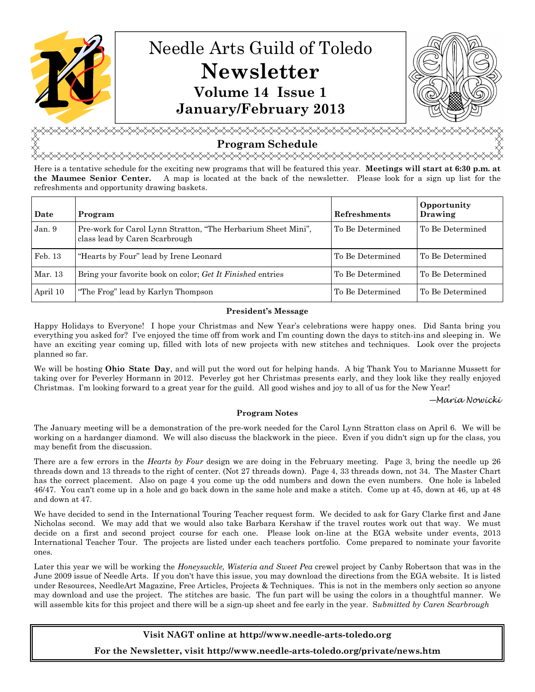

# **Program Schedule**<br>۞۞۞۞۞۞۞۞۞۞۞۞۞۞۞۞

Here is a tentative schedule for the exciting new programs that will be featured this year. **Meetings will start at 6:30 p.m. at the Maumee Senior Center.** A map is located at the back of the newsletter. Please look for a sign up list for the refreshments and opportunity drawing baskets.

| Date     | Program                                                                                         | <b>Refreshments</b> | Opportunity<br>Drawing |
|----------|-------------------------------------------------------------------------------------------------|---------------------|------------------------|
| Jan. 9   | Pre-work for Carol Lynn Stratton, "The Herbarium Sheet Mini",<br>class lead by Caren Scarbrough | To Be Determined    | To Be Determined       |
| Feb. 13  | "Hearts by Four" lead by Irene Leonard                                                          | To Be Determined    | To Be Determined       |
| Mar. 13  | Bring your favorite book on color; Get It Finished entries                                      | To Be Determined    | To Be Determined       |
| April 10 | "The Frog" lead by Karlyn Thompson                                                              | To Be Determined    | To Be Determined       |

#### **President's Message**

Happy Holidays to Everyone! I hope your Christmas and New Year's celebrations were happy ones. Did Santa bring you everything you asked for? I've enjoyed the time off from work and I'm counting down the days to stitch-ins and sleeping in. We have an exciting year coming up, filled with lots of new projects with new stitches and techniques. Look over the projects planned so far.

We will be hosting **Ohio State Day**, and will put the word out for helping hands. A big Thank You to Marianne Mussett for taking over for Peverley Hormann in 2012. Peverley got her Christmas presents early, and they look like they really enjoyed Christmas. I'm looking forward to a great year for the guild. All good wishes and joy to all of us for the New Year!

—Maria Nowicki

#### **Program Notes**

The January meeting will be a demonstration of the pre-work needed for the Carol Lynn Stratton class on April 6. We will be working on a hardanger diamond. We will also discuss the blackwork in the piece. Even if you didn't sign up for the class, you may benefit from the discussion.

There are a few errors in the *Hearts by Four* design we are doing in the February meeting. Page 3, bring the needle up 26 threads down and 13 threads to the right of center. (Not 27 threads down). Page 4, 33 threads down, not 34. The Master Chart has the correct placement. Also on page 4 you come up the odd numbers and down the even numbers. One hole is labeled 46/47. You can't come up in a hole and go back down in the same hole and make a stitch. Come up at 45, down at 46, up at 48 and down at 47.

We have decided to send in the International Touring Teacher request form. We decided to ask for Gary Clarke first and Jane Nicholas second. We may add that we would also take Barbara Kershaw if the travel routes work out that way. We must decide on a first and second project course for each one. Please look on-line at the EGA website under events, 2013 International Teacher Tour. The projects are listed under each teachers portfolio. Come prepared to nominate your favorite ones.

Later this year we will be working the *Honeysuckle, Wisteria and Sweet Pea* crewel project by Canby Robertson that was in the June 2009 issue of Needle Arts. If you don't have this issue, you may download the directions from the EGA website. It is listed under Resources, NeedleArt Magazine, Free Articles, Projects & Techniques. This is not in the members only section so anyone may download and use the project. The stitches are basic. The fun part will be using the colors in a thoughtful manner. We will assemble kits for this project and there will be a sign-up sheet and fee early in the year. S*ubmitted by Caren Scarbrough*

**Visit NAGT online at http://www.needle-arts-toledo.org** 

**For the Newsletter, visit http://www.needle-arts-toledo.org/private/news.htm**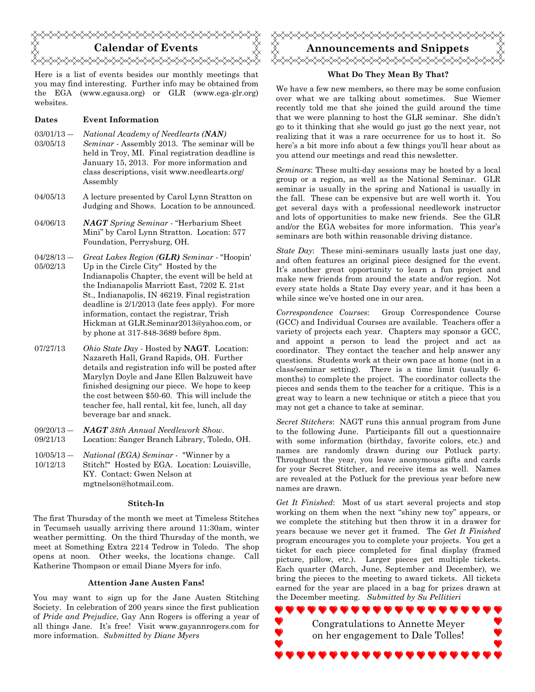

Here is a list of events besides our monthly meetings that you may find interesting. Further info may be obtained from the EGA (www.egausa.org) or GLR (www.ega-glr.org) websites.

#### **Dates Event Information**

- $03/01/13 -$ *National Academy of Needlearts (NAN)*
- 03/05/13 *Seminar* - Assembly 2013. The seminar will be held in Troy, MI. Final registration deadline is January 15, 2013. For more information and class descriptions, visit www.needlearts.org/ Assembly
- 04/05/13 A lecture presented by Carol Lynn Stratton on Judging and Shows. Location to be announced.
- 04/06/13 *NAGT Spring Seminar*  "Herbarium Sheet Mini" by Carol Lynn Stratton. Location: 577 Foundation, Perrysburg, OH.
- $04/28/13 -$ 05/02/13 *Great Lakes Region (GLR) Seminar -* "Hoopin' Up in the Circle City" Hosted by the Indianapolis Chapter, the event will be held at the Indianapolis Marriott East, 7202 E. 21st St., Indianapolis, IN 46219. Final registration deadline is 2/1/2013 (late fees apply). For more information, contact the registrar, Trish Hickman at GLR.Seminar2013@yahoo.com, or by phone at 317-848-3689 before 8pm.
- 07/27/13 *Ohio State Day* Hosted by **NAGT**. Location: Nazareth Hall, Grand Rapids, OH. Further details and registration info will be posted after Marylyn Doyle and Jane Ellen Balzuweit have finished designing our piece. We hope to keep the cost between \$50-60. This will include the teacher fee, hall rental, kit fee, lunch, all day beverage bar and snack.
- $09/20/13 -$ 09/21/13 *NAGT 38th Annual Needlework Show*. Location: Sanger Branch Library, Toledo, OH.
- $10/05/13 -$ 10/12/13 *National (EGA) Seminar -* "Winner by a Stitch!" Hosted by EGA. Location: Louisville, KY. Contact: Gwen Nelson at mgtnelson@hotmail.com.

#### **Stitch-In**

The first Thursday of the month we meet at Timeless Stitches in Tecumseh usually arriving there around 11:30am, winter weather permitting. On the third Thursday of the month, we meet at Something Extra 2214 Tedrow in Toledo. The shop opens at noon. Other weeks, the locations change. Call Katherine Thompson or email Diane Myers for info.

#### **Attention Jane Austen Fans!**

You may want to sign up for the Jane Austen Stitching Society. In celebration of 200 years since the first publication of *Pride and Prejudice*, Gay Ann Rogers is offering a year of all things Jane. It's free! Visit www.gayannrogers.com for more information. *Submitted by Diane Myers*



#### **What Do They Mean By That?**

We have a few new members, so there may be some confusion over what we are talking about sometimes. Sue Wiemer recently told me that she joined the guild around the time that we were planning to host the GLR seminar. She didn't go to it thinking that she would go just go the next year, not realizing that it was a rare occurrence for us to host it. So here's a bit more info about a few things you'll hear about as you attend our meetings and read this newsletter.

*Seminars*: These multi-day sessions may be hosted by a local group or a region, as well as the National Seminar. GLR seminar is usually in the spring and National is usually in the fall. These can be expensive but are well worth it. You get several days with a professional needlework instructor and lots of opportunities to make new friends. See the GLR and/or the EGA websites for more information. This year's seminars are both within reasonable driving distance.

*State Day*: These mini-seminars usually lasts just one day, and often features an original piece designed for the event. It's another great opportunity to learn a fun project and make new friends from around the state and/or region. Not every state holds a State Day every year, and it has been a while since we've hosted one in our area.

*Correspondence Courses*: Group Correspondence Course (GCC) and Individual Courses are available. Teachers offer a variety of projects each year. Chapters may sponsor a GCC, and appoint a person to lead the project and act as coordinator. They contact the teacher and help answer any questions. Students work at their own pace at home (not in a class/seminar setting). There is a time limit (usually 6 months) to complete the project. The coordinator collects the pieces and sends them to the teacher for a critique. This is a great way to learn a new technique or stitch a piece that you may not get a chance to take at seminar.

*Secret Stitchers*: NAGT runs this annual program from June to the following June. Participants fill out a questionnaire with some information (birthday, favorite colors, etc.) and names are randomly drawn during our Potluck party. Throughout the year, you leave anonymous gifts and cards for your Secret Stitcher, and receive items as well. Names are revealed at the Potluck for the previous year before new names are drawn.

*Get It Finished*: Most of us start several projects and stop working on them when the next "shiny new toy" appears, or we complete the stitching but then throw it in a drawer for years because we never get it framed. The *Get It Finished*  program encourages you to complete your projects. You get a ticket for each piece completed for final display (framed picture, pillow, etc.). Larger pieces get multiple tickets. Each quarter (March, June, September and December), we bring the pieces to the meeting to award tickets. All tickets earned for the year are placed in a bag for prizes drawn at the December meeting. *Submitted by Su Pellitieri*

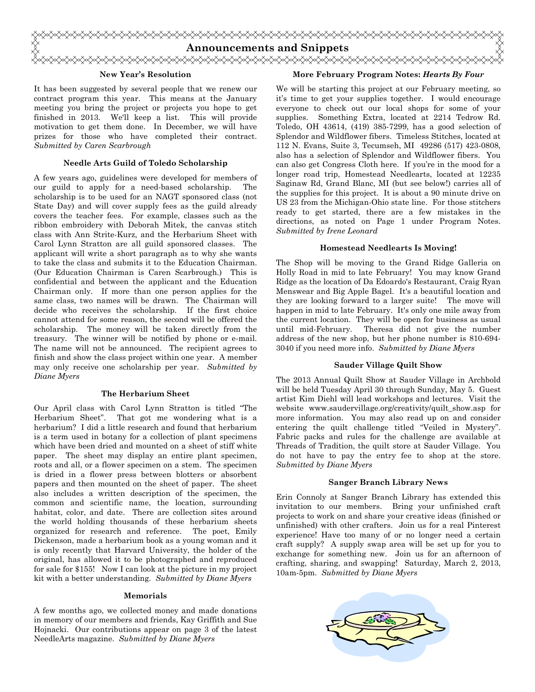

#### **New Year's Resolution**

It has been suggested by several people that we renew our contract program this year. This means at the January meeting you bring the project or projects you hope to get finished in 2013. We'll keep a list. This will provide motivation to get them done. In December, we will have prizes for those who have completed their contract. *Submitted by Caren Scarbrough*

#### **Needle Arts Guild of Toledo Scholarship**

A few years ago, guidelines were developed for members of our guild to apply for a need-based scholarship. The scholarship is to be used for an NAGT sponsored class (not State Day) and will cover supply fees as the guild already covers the teacher fees. For example, classes such as the ribbon embroidery with Deborah Mitek, the canvas stitch class with Ann Strite-Kurz, and the Herbarium Sheet with Carol Lynn Stratton are all guild sponsored classes. The applicant will write a short paragraph as to why she wants to take the class and submits it to the Education Chairman. (Our Education Chairman is Caren Scarbrough.) This is confidential and between the applicant and the Education Chairman only. If more than one person applies for the same class, two names will be drawn. The Chairman will decide who receives the scholarship. If the first choice cannot attend for some reason, the second will be offered the scholarship. The money will be taken directly from the treasury. The winner will be notified by phone or e-mail. The name will not be announced. The recipient agrees to finish and show the class project within one year. A member may only receive one scholarship per year. *Submitted by Diane Myers*

#### **The Herbarium Sheet**

Our April class with Carol Lynn Stratton is titled "The Herbarium Sheet". That got me wondering what is a herbarium? I did a little research and found that herbarium is a term used in botany for a collection of plant specimens which have been dried and mounted on a sheet of stiff white paper. The sheet may display an entire plant specimen, roots and all, or a flower specimen on a stem. The specimen is dried in a flower press between blotters or absorbent papers and then mounted on the sheet of paper. The sheet also includes a written description of the specimen, the common and scientific name, the location, surrounding habitat, color, and date. There are collection sites around the world holding thousands of these herbarium sheets organized for research and reference. The poet, Emily Dickenson, made a herbarium book as a young woman and it is only recently that Harvard University, the holder of the original, has allowed it to be photographed and reproduced for sale for \$155! Now I can look at the picture in my project kit with a better understanding. *Submitted by Diane Myers* 

#### **Memorials**

A few months ago, we collected money and made donations in memory of our members and friends, Kay Griffith and Sue Hojnacki. Our contributions appear on page 3 of the latest NeedleArts magazine. *Submitted by Diane Myers*

#### **More February Program Notes:** *Hearts By Four*

We will be starting this project at our February meeting, so it's time to get your supplies together. I would encourage everyone to check out our local shops for some of your supplies. Something Extra, located at 2214 Tedrow Rd. Toledo, OH 43614, (419) 385-7299, has a good selection of Splendor and Wildflower fibers. Timeless Stitches, located at 112 N. Evans, Suite 3, Tecumseh, MI 49286 (517) 423-0808, also has a selection of Splendor and Wildflower fibers. You can also get Congress Cloth here. If you're in the mood for a longer road trip, Homestead Needlearts, located at 12235 Saginaw Rd, Grand Blanc, MI (but see below!) carries all of the supplies for this project. It is about a 90 minute drive on US 23 from the Michigan-Ohio state line. For those stitchers ready to get started, there are a few mistakes in the directions, as noted on Page 1 under Program Notes. *Submitted by Irene Leonard* 

#### **Homestead Needlearts Is Moving!**

The Shop will be moving to the Grand Ridge Galleria on Holly Road in mid to late February! You may know Grand Ridge as the location of Da Edoardo's Restaurant, Craig Ryan Menswear and Big Apple Bagel. It's a beautiful location and they are looking forward to a larger suite! The move will happen in mid to late February. It's only one mile away from the current location. They will be open for business as usual until mid-February. Theresa did not give the number address of the new shop, but her phone number is 810-694- 3040 if you need more info. *Submitted by Diane Myers* 

#### **Sauder Village Quilt Show**

The 2013 Annual Quilt Show at Sauder Village in Archbold will be held Tuesday April 30 through Sunday, May 5. Guest artist Kim Diehl will lead workshops and lectures. Visit the website www.saudervillage.org/creativity/quilt\_show.asp for more information. You may also read up on and consider entering the quilt challenge titled "Veiled in Mystery". Fabric packs and rules for the challenge are available at Threads of Tradition, the quilt store at Sauder Village. You do not have to pay the entry fee to shop at the store. *Submitted by Diane Myers* 

#### **Sanger Branch Library News**

Erin Connoly at Sanger Branch Library has extended this invitation to our members. Bring your unfinished craft projects to work on and share your creative ideas (finished or unfinished) with other crafters. Join us for a real Pinterest experience! Have too many of or no longer need a certain craft supply? A supply swap area will be set up for you to exchange for something new. Join us for an afternoon of crafting, sharing, and swapping! Saturday, March 2, 2013, 10am-5pm. *Submitted by Diane Myers*

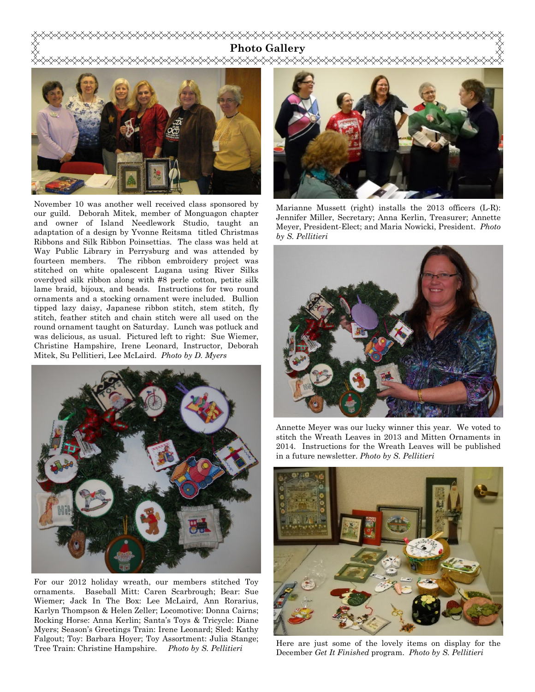### **Photo Gallery**



November 10 was another well received class sponsored by our guild. Deborah Mitek, member of Monguagon chapter and owner of Island Needlework Studio, taught an adaptation of a design by Yvonne Reitsma titled Christmas Ribbons and Silk Ribbon Poinsettias. The class was held at Way Public Library in Perrysburg and was attended by fourteen members. The ribbon embroidery project was stitched on white opalescent Lugana using River Silks overdyed silk ribbon along with #8 perle cotton, petite silk lame braid, bijoux, and beads. Instructions for two round ornaments and a stocking ornament were included. Bullion tipped lazy daisy, Japanese ribbon stitch, stem stitch, fly stitch, feather stitch and chain stitch were all used on the round ornament taught on Saturday. Lunch was potluck and was delicious, as usual. Pictured left to right: Sue Wiemer, Christine Hampshire, Irene Leonard, Instructor, Deborah Mitek, Su Pellitieri, Lee McLaird. *Photo by D. Myers* 



For our 2012 holiday wreath, our members stitched Toy ornaments. Baseball Mitt: Caren Scarbrough; Bear: Sue Wiemer; Jack In The Box: Lee McLaird, Ann Rorarius, Karlyn Thompson & Helen Zeller; Locomotive: Donna Cairns; Rocking Horse: Anna Kerlin; Santa's Toys & Tricycle: Diane Myers; Season's Greetings Train: Irene Leonard; Sled: Kathy Falgout; Toy: Barbara Hoyer; Toy Assortment: Julia Stange; Tree Train: Christine Hampshire. *Photo by S. Pellitieri* 



Marianne Mussett (right) installs the 2013 officers (L-R): Jennifer Miller, Secretary; Anna Kerlin, Treasurer; Annette Meyer, President-Elect; and Maria Nowicki, President. *Photo by S. Pellitieri*



Annette Meyer was our lucky winner this year. We voted to stitch the Wreath Leaves in 2013 and Mitten Ornaments in 2014. Instructions for the Wreath Leaves will be published in a future newsletter. *Photo by S. Pellitieri* 

![](_page_3_Picture_9.jpeg)

Here are just some of the lovely items on display for the December *Get It Finished* program. *Photo by S. Pellitieri*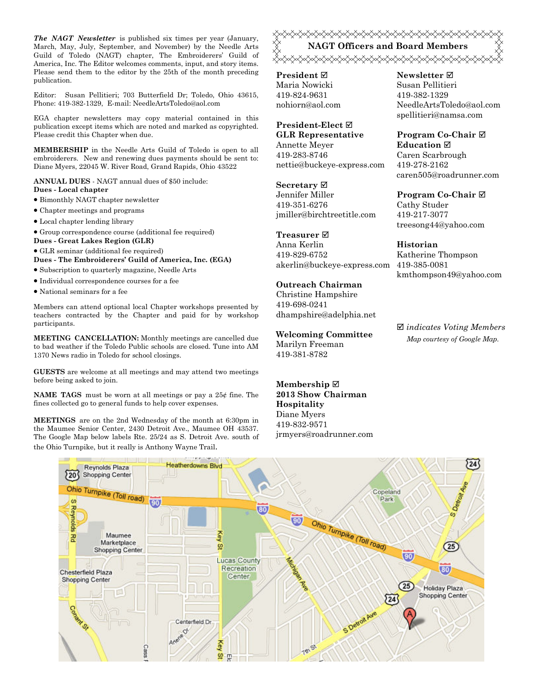*The NAGT Newsletter* is published six times per year (January, March, May, July, September, and November) by the Needle Arts Guild of Toledo (NAGT) chapter, The Embroiderers' Guild of America, Inc. The Editor welcomes comments, input, and story items. Please send them to the editor by the 25th of the month preceding publication.

Editor: Susan Pellitieri; 703 Butterfield Dr; Toledo, Ohio 43615, Phone: 419-382-1329, E-mail: NeedleArtsToledo@aol.com

EGA chapter newsletters may copy material contained in this publication except items which are noted and marked as copyrighted. Please credit this Chapter when due.

**MEMBERSHIP** in the Needle Arts Guild of Toledo is open to all embroiderers. New and renewing dues payments should be sent to: Diane Myers, 22045 W. River Road, Grand Rapids, Ohio 43522

**ANNUAL DUES** - NAGT annual dues of \$50 include: **Dues - Local chapter** 

- Bimonthly NAGT chapter newsletter
- Chapter meetings and programs
- Local chapter lending library
- Group correspondence course (additional fee required)
- **Dues Great Lakes Region (GLR)**
- GLR seminar (additional fee required)

**Dues - The Embroiderers' Guild of America, Inc. (EGA)** 

- Subscription to quarterly magazine, Needle Arts
- Individual correspondence courses for a fee
- National seminars for a fee

Members can attend optional local Chapter workshops presented by teachers contracted by the Chapter and paid for by workshop participants.

**MEETING CANCELLATION:** Monthly meetings are cancelled due to bad weather if the Toledo Public schools are closed. Tune into AM 1370 News radio in Toledo for school closings.

**GUESTS** are welcome at all meetings and may attend two meetings before being asked to join.

**NAME TAGS** must be worn at all meetings or pay a 25¢ fine. The fines collected go to general funds to help cover expenses.

**MEETINGS** are on the 2nd Wednesday of the month at 6:30pm in the Maumee Senior Center, 2430 Detroit Ave., Maumee OH 43537. The Google Map below labels Rte. 25/24 as S. Detroit Ave. south of the Ohio Turnpike, but it really is Anthony Wayne Trail.

# <del></del> **NAGT Officers and Board Members**

**President** Maria Nowicki 419-824-9631 nohiorn@aol.com

#### **President-Elect GLR Representative**

Annette Meyer 419-283-8746 nettie@buckeye-express.com

**Secretary**

Jennifer Miller 419-351-6276 jmiller@birchtreetitle.com

### **Treasurer**

Anna Kerlin 419-829-6752 akerlin@buckeye-express.com 419-385-0081

# **Outreach Chairman**

Christine Hampshire 419-698-0241 dhampshire@adelphia.net

**Welcoming Committee**  Marilyn Freeman 419-381-8782

**Membership 2013 Show Chairman Hospitality**  Diane Myers 419-832-9571 jrmyers@roadrunner.com

#### **Newsletter**  Susan Pellitieri 419-382-1329 NeedleArtsToledo@aol.com spellitieri@namsa.com

**Program Co-Chair Education**  Caren Scarbrough 419-278-2162 caren505@roadrunner.com

# **Program Co-Chair**

Cathy Studer 419-217-3077 treesong44@yahoo.com

#### **Historian**

Katherine Thompson kmthompson49@yahoo.com

 *indicates Voting Members Map courtesy of Google Map.* 

![](_page_4_Figure_39.jpeg)